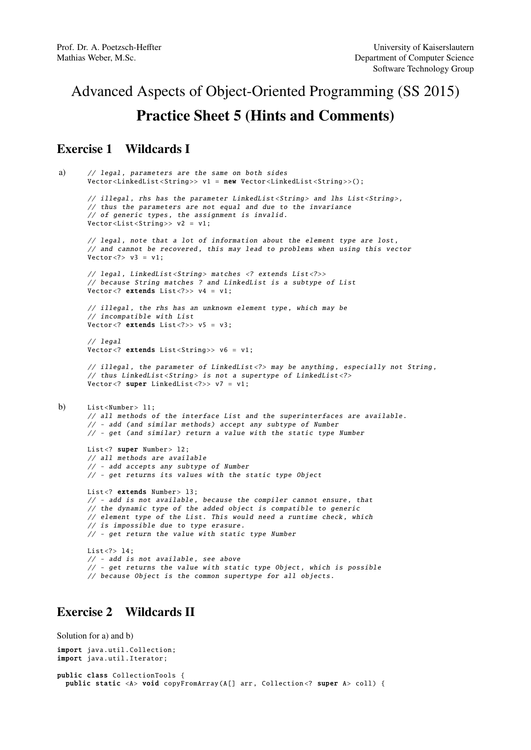# Advanced Aspects of Object-Oriented Programming (SS 2015) Practice Sheet 5 (Hints and Comments)

# Exercise 1 Wildcards I

```
a) // legal, parameters are the same on both sides
       Vector<LinkedList<String>> v1 = new Vector<LinkedList<String>>();
       // illegal, rhs has the parameter LinkedList<String> and lhs List<String>.
       // thus the parameters are not equal and due to the invariance
       // of generic types , the assignment is invalid.
       Vector<List<String>> v2 = v1;
       // legal, note that a lot of information about the element type are lost,
       // and cannot be recovered, this may lead to problems when using this vector
       Vector < ? > v3 = v1:
       // legal, LinkedList<String> matches <? extends List<?>>
       // because String matches ? and LinkedList is a subtype of List
       \sqrt{v} vector <? extends List <?>> v4 = v1;
       // illegal, the rhs has an unknown element type, which may be
       // incompatible with List
       Vector <? extends List <?>> v5 = v3;
       // legal
       Vector <? extends List <String>> v6 = v1;
       // illegal, the parameter of LinkedList<?> may be anything, especially not String,
       // thus LinkedList<String> is not a supertype of LinkedList<?>
       Vector<? super LinkedList<?>> v7 = v1;
b) List < Number > 11:
       // all methods of the interface List and the superinterfaces are available .
       // - add (and similar methods) accept any subtype of Number
       // - get (and similar) return a value with the static type Number
       List<? super Number> 12;
       // all methods are available
       // - add accepts any subtype of Number
       // - get returns its values with the static type Object
       List<? extends Number> 13;
       // - add is not available, because the compiler cannot ensure, that
       // the dynamic type of the added object is compatible to generic
       // element type of the List. This would need a runtime check, which
       // is impossible due to type erasure.
       // - get return the value with static type Number
       List \langle ? \rangle 14:
       // - add is not available , see above
       // - get returns the value with static type Object, which is possible
       // because Object is the common supertype for all objects.
```
# Exercise 2 Wildcards II

```
Solution for a) and b)
import java.util. Collection;
import java.util.Iterator;
public class CollectionTools {
 public static <A> void copyFromArray (A[] arr, Collection <? super A> coll) {
```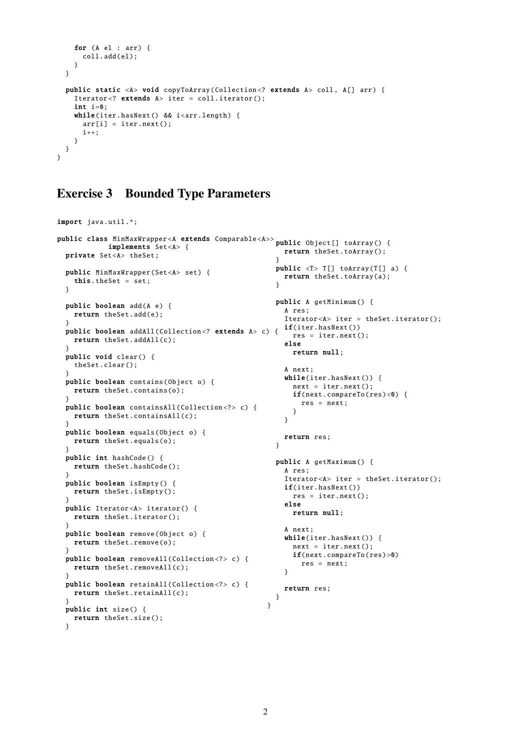```
for (A el : arr) {
     coll.add(el);
   }
 }
 public static <A> void copyToArray(Collection<? extends A> coll, A[] arr) {
   Iterator<? extends A> iter = coll.iterator();
    int i=0;
   while(iter.hasNext() && i<arr.length) {
     arr[i] = iter.next();i++;
   }
 }
}
```
#### Exercise 3 Bounded Type Parameters

```
import java.util .*;
public class MinMaxWrapper <A extends Comparable <A>>
public Object [] toArray () {
            implements Set<A> {
 private Set<A> theSet;
 public MinMaxWrapper (Set <A> set) {
  this.theSet = set;
 }
 public boolean add(A e) {
   return theSet.add(e);
  }
  public boolean addAll(Collection <? extends A> c) {
if(iter.hasNext ())
   return theSet.addAll(c);
 }
 public void clear () {
   theSet.clear ();
 }
 public boolean contains(Object o) {
   return theSet.contains(o);
 }
 public boolean containsAll (Collection <?> c) {
   return theSet.containsAll(c);
  }
 public boolean equals(Object o) {
   return theSet.equals(o);
 }
 public int hashCode () {
   return theSet.hashCode ();
  }
 public boolean isEmpty () {
   return theSet.isEmpty ();
 }
 public Iterator <A> iterator () {
   return theSet.iterator ();
 }
 public boolean remove(Object o) {
   return theSet.remove(o);
 }
 public boolean removeAll (Collection <?> c) {
   return theSet. removeAll (c);
 }
 public boolean retainAll (Collection <?> c) {
   return theSet.retainAll(c);
 }
 public int size () {
   return theSet.size();
  }
                                                      return theSet.toArray ();
                                                     }
                                                    public <T> T[] toArray(T[] a) {
                                                      return theSet.toArray(a);
                                                     \mathbf{r}public A getMinimum () {
                                                       A res;
                                                       Iterator <A> iter = theSet.iterator ();
                                                         res = iter.next ();
                                                       else
                                                        return null;
                                                       A next;
                                                       while(iter.hasNext()) {
                                                        next = iter.next();if(new.compareTo(res) < 0) {
                                                          res = next;
                                                         }
                                                       }
                                                      return res;
                                                     }
                                                    public A getMaximum () {
                                                      A res;
                                                       Iterator <A> iter = theSet.iterator ();
                                                      if(iter.hasNext())
                                                        res = iter.next():
                                                       else
                                                        return null;
                                                       A next;
                                                      while(iter.hasNext()) {
                                                        next = iter.next();if(next. compareTo (res )>0)
                                                          res = next;
                                                       }
                                                      return res;
                                                    }
                                                  }
```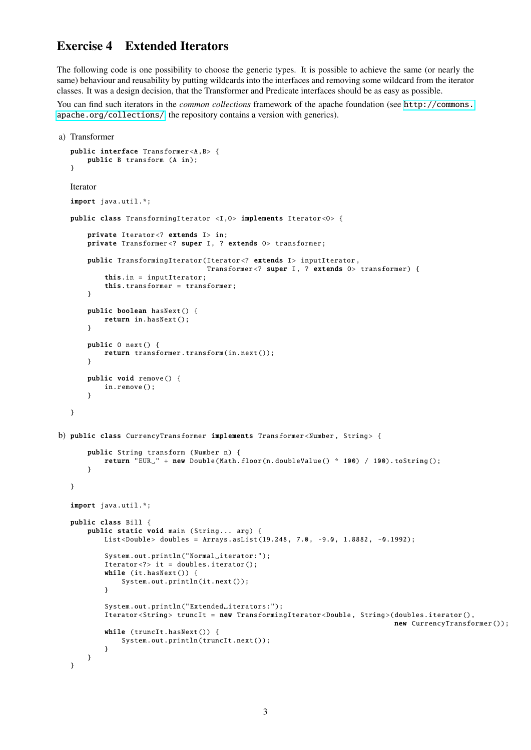# Exercise 4 Extended Iterators

The following code is one possibility to choose the generic types. It is possible to achieve the same (or nearly the same) behaviour and reusability by putting wildcards into the interfaces and removing some wildcard from the iterator classes. It was a design decision, that the Transformer and Predicate interfaces should be as easy as possible.

You can find such iterators in the *common collections* framework of the apache foundation (see [http://commons.](http://commons.apache.org/collections/) [apache.org/collections/](http://commons.apache.org/collections/), the repository contains a version with generics).

```
a) Transformer
  public interface Transformer <A,B> {
       public B transform (A in);
   }
  Iterator
  import java.util.*;
  public class TransformingIterator <I,O> implements Iterator <O> {
       private Iterator<? extends I> in;
      private Transformer<? super I, ? extends 0> transformer;
       public TransformingIterator (Iterator <? extends I> inputIterator ,
                                    Transformer<? super I, ? extends 0> transformer) {
           this.in = inputIterator ;
           this. transformer = transformer ;
       }
       public boolean hasNext () {
           return in.hasNext();
       }
       public O next () {
           return transformer . transform (in.next ());
       }
       public void remove () {
          in.remove ();
       }
  }
b) public class CurrencyTransformer implements Transformer<Number, String> {
       public String transform (Number n) {
           return "EUR<sub>L</sub>" + new Double(Math.floor(n.doubleValue() * 100) / 100).toString();
       }
  }
  import java.util.*;
  public class Bill {
      public static void main (String... arg) {
           List<Double> doubles = Arrays.asList(19.248, 7.0, -9.0, 1.8882, -0.1992);
           System.out.println("Normal_iterator:");
           Iterator <?> it = doubles.iterator ();
           while (it.hasNext() {
               System.out.println(it.next());
           }
           System.out.println("Extended_iterators:");
           Iterator <String > truncIt = new TransformingIterator <Double , String >( doubles.iterator (),
                                                                                  new CurrencyTransformer ());
           while (truncIt.hasNext()) {
               System.out.println(truncIt.next()):
           }
      }
  }
```